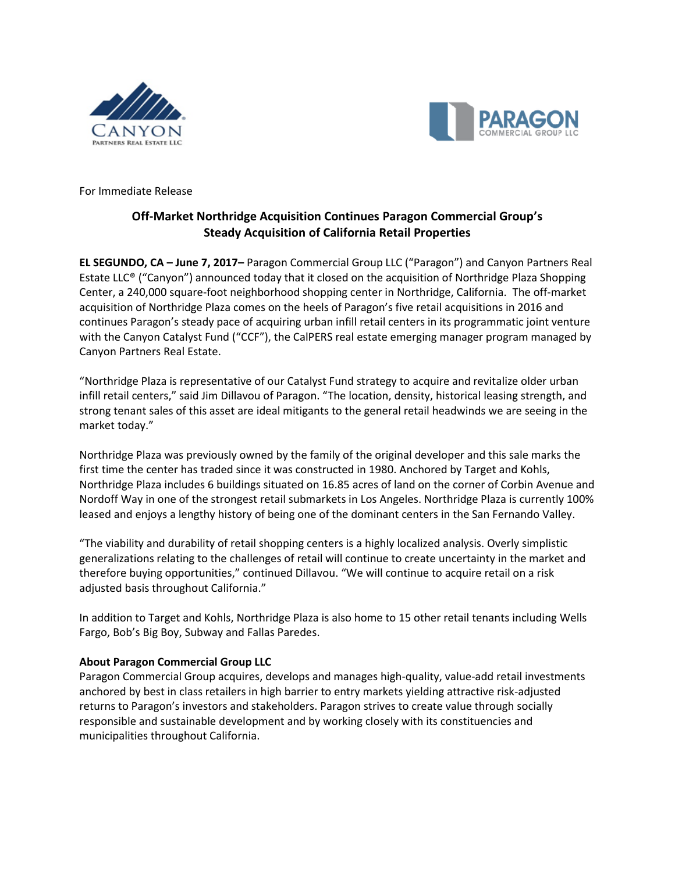



For Immediate Release

## **Off-Market Northridge Acquisition Continues Paragon Commercial Group's Steady Acquisition of California Retail Properties**

**EL SEGUNDO, CA – June 7, 2017–** Paragon Commercial Group LLC ("Paragon") and Canyon Partners Real Estate LLC® ("Canyon") announced today that it closed on the acquisition of Northridge Plaza Shopping Center, a 240,000 square-foot neighborhood shopping center in Northridge, California. The off-market acquisition of Northridge Plaza comes on the heels of Paragon's five retail acquisitions in 2016 and continues Paragon's steady pace of acquiring urban infill retail centers in its programmatic joint venture with the Canyon Catalyst Fund ("CCF"), the CalPERS real estate emerging manager program managed by Canyon Partners Real Estate.

"Northridge Plaza is representative of our Catalyst Fund strategy to acquire and revitalize older urban infill retail centers," said Jim Dillavou of Paragon. "The location, density, historical leasing strength, and strong tenant sales of this asset are ideal mitigants to the general retail headwinds we are seeing in the market today."

Northridge Plaza was previously owned by the family of the original developer and this sale marks the first time the center has traded since it was constructed in 1980. Anchored by Target and Kohls, Northridge Plaza includes 6 buildings situated on 16.85 acres of land on the corner of Corbin Avenue and Nordoff Way in one of the strongest retail submarkets in Los Angeles. Northridge Plaza is currently 100% leased and enjoys a lengthy history of being one of the dominant centers in the San Fernando Valley.

"The viability and durability of retail shopping centers is a highly localized analysis. Overly simplistic generalizations relating to the challenges of retail will continue to create uncertainty in the market and therefore buying opportunities," continued Dillavou. "We will continue to acquire retail on a risk adjusted basis throughout California."

In addition to Target and Kohls, Northridge Plaza is also home to 15 other retail tenants including Wells Fargo, Bob's Big Boy, Subway and Fallas Paredes.

## **About Paragon Commercial Group LLC**

Paragon Commercial Group acquires, develops and manages high-quality, value-add retail investments anchored by best in class retailers in high barrier to entry markets yielding attractive risk-adjusted returns to Paragon's investors and stakeholders. Paragon strives to create value through socially responsible and sustainable development and by working closely with its constituencies and municipalities throughout California.